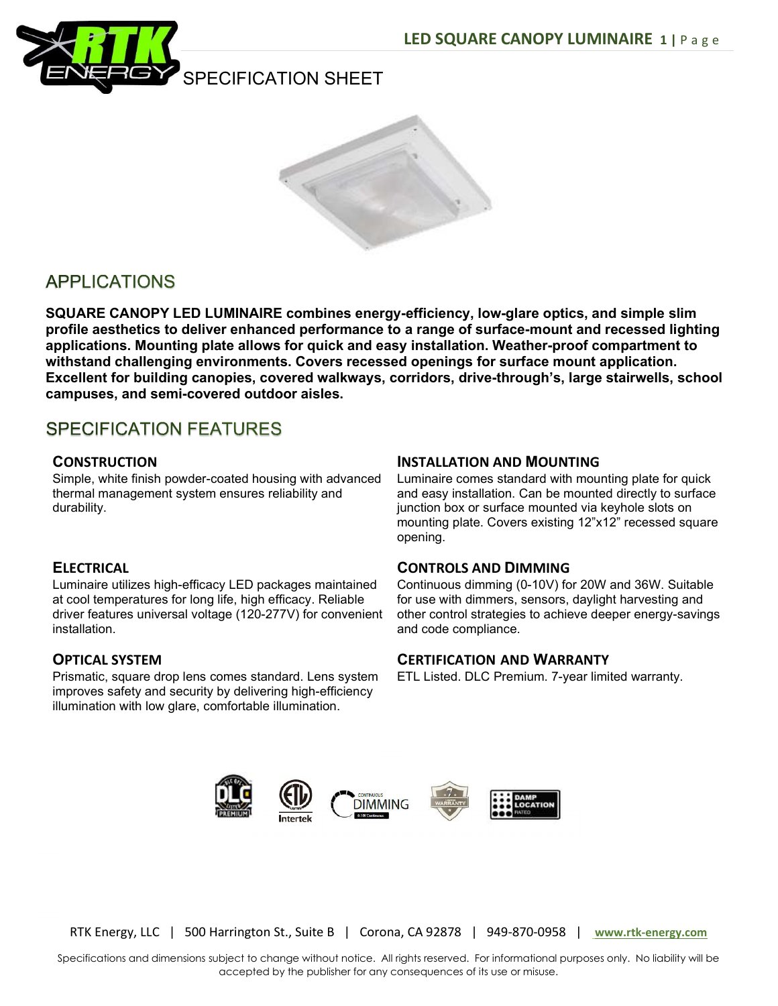



# **APPLICATIONS**

SQUARE CANOPY LED LUMINAIRE combines energy-efficiency, low-glare optics, and simple slim profile aesthetics to deliver enhanced performance to a range of surface-mount and recessed lighting applications. Mounting plate allows for quick and easy installation. Weather-proof compartment to withstand challenging environments. Covers recessed openings for surface mount application. Excellent for building canopies, covered walkways, corridors, drive-through's, large stairwells, school campuses, and semi-covered outdoor aisles.

## **SPECIFICATION FEATURES**

### **CONSTRUCTION**

Simple, white finish powder-coated housing with advanced thermal management system ensures reliability and durability.

## **ELECTRICAL**

Luminaire utilizes high-efficacy LED packages maintained at cool temperatures for long life, high efficacy. Reliable driver features universal voltage (120-277V) for convenient installation.

## OPTICAL SYSTEM

Prismatic, square drop lens comes standard. Lens system improves safety and security by delivering high-efficiency illumination with low glare, comfortable illumination.

### INSTALLATION AND MOUNTING

Luminaire comes standard with mounting plate for quick and easy installation. Can be mounted directly to surface junction box or surface mounted via keyhole slots on mounting plate. Covers existing 12"x12" recessed square opening.

#### CONTROLS AND DIMMING

Continuous dimming (0-10V) for 20W and 36W. Suitable for use with dimmers, sensors, daylight harvesting and other control strategies to achieve deeper energy-savings and code compliance.

## CERTIFICATION AND WARRANTY

ETL Listed. DLC Premium. 7-year limited warranty.



RTK Energy, LLC | 500 Harrington St., Suite B | Corona, CA 92878 | 949-870-0958 | www.rtk-energy.com

Specifications and dimensions subject to change without notice. All rights reserved. For informational purposes only. No liability will be accepted by the publisher for any consequences of its use or misuse.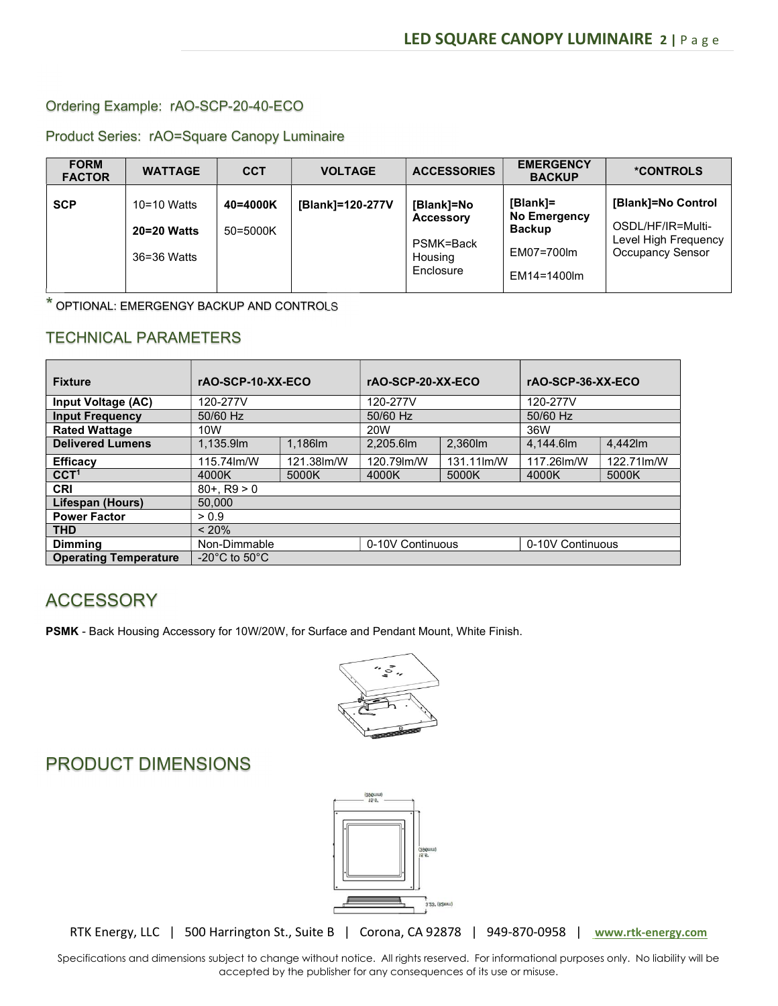#### Ordering Example: rAO-SCP-20-40-ECO

#### Product Series: rAO=Square Canopy Luminaire

| <b>FORM</b><br><b>FACTOR</b> | <b>WATTAGE</b>                              | <b>CCT</b>           | <b>VOLTAGE</b>   | <b>ACCESSORIES</b>                                                  | <b>EMERGENCY</b><br><b>BACKUP</b>                                      | <b>*CONTROLS</b>                                                                           |
|------------------------------|---------------------------------------------|----------------------|------------------|---------------------------------------------------------------------|------------------------------------------------------------------------|--------------------------------------------------------------------------------------------|
| <b>SCP</b>                   | $10=10$ Watts<br>20=20 Watts<br>36=36 Watts | 40=4000K<br>50=5000K | [Blank]=120-277V | [Blank]=No<br><b>Accessory</b><br>PSMK=Back<br>Housing<br>Enclosure | [Blank]=<br>No Emergency<br><b>Backup</b><br>EM07=700lm<br>EM14=1400lm | [Blank]=No Control<br>OSDL/HF/IR=Multi-<br>Level High Frequency<br><b>Occupancy Sensor</b> |

\* OPTIONAL: EMERGENGY BACKUP AND CONTROLS

## TECHNICAL PARAMETERS

| <b>Fixture</b>               | rAO-SCP-10-XX-ECO                   |            | rAO-SCP-20-XX-ECO |            | rAO-SCP-36-XX-ECO |            |  |  |  |
|------------------------------|-------------------------------------|------------|-------------------|------------|-------------------|------------|--|--|--|
| Input Voltage (AC)           | 120-277V                            |            | 120-277V          |            | 120-277V          |            |  |  |  |
| <b>Input Frequency</b>       | 50/60 Hz                            |            | 50/60 Hz          |            | 50/60 Hz          |            |  |  |  |
| <b>Rated Wattage</b>         | 10 <sub>W</sub>                     |            | 20W               |            | 36W               |            |  |  |  |
| <b>Delivered Lumens</b>      | 1,135.9m                            | 1.186lm    | 2,205.6lm         | 2,360lm    | 4,144.6lm         | 4.442lm    |  |  |  |
| <b>Efficacy</b>              | 115.74lm/W                          | 121.38lm/W | 120.79lm/W        | 131.11lm/W | 117.26lm/W        | 122.71lm/W |  |  |  |
| CCT <sup>1</sup>             | 4000K                               | 5000K      | 4000K             | 5000K      | 4000K             | 5000K      |  |  |  |
| <b>CRI</b>                   | $80 + . R9 > 0$                     |            |                   |            |                   |            |  |  |  |
| Lifespan (Hours)             | 50.000                              |            |                   |            |                   |            |  |  |  |
| <b>Power Factor</b>          | > 0.9                               |            |                   |            |                   |            |  |  |  |
| <b>THD</b>                   | $< 20\%$                            |            |                   |            |                   |            |  |  |  |
| <b>Dimming</b>               | Non-Dimmable                        |            | 0-10V Continuous  |            | 0-10V Continuous  |            |  |  |  |
| <b>Operating Temperature</b> | -20 $^{\circ}$ C to 50 $^{\circ}$ C |            |                   |            |                   |            |  |  |  |

## ACCESSORY

PSMK - Back Housing Accessory for 10W/20W, for Surface and Pendant Mount, White Finish.



# PRODUCT DIMENSIONS



RTK Energy, LLC | 500 Harrington St., Suite B | Corona, CA 92878 | 949-870-0958 | www.rtk-energy.com

Specifications and dimensions subject to change without notice. All rights reserved. For informational purposes only. No liability will be accepted by the publisher for any consequences of its use or misuse.